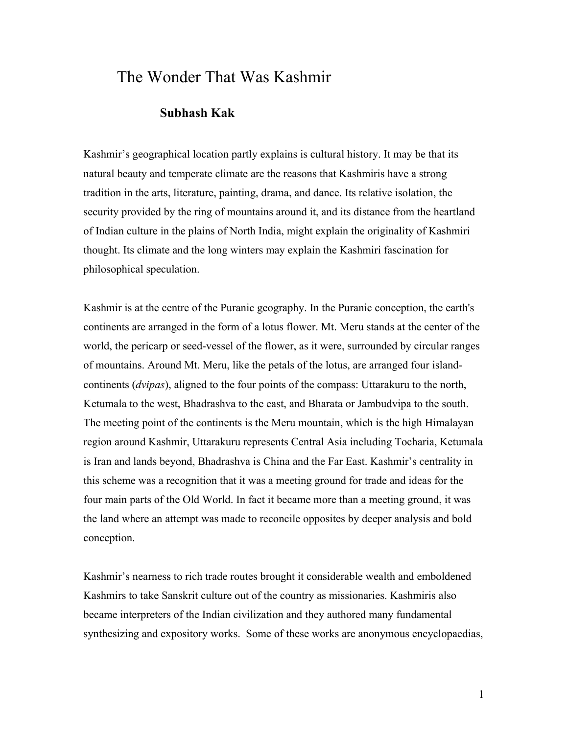# The Wonder That Was Kashmir

## **Subhash Kak**

Kashmir's geographical location partly explains is cultural history. It may be that its natural beauty and temperate climate are the reasons that Kashmiris have a strong tradition in the arts, literature, painting, drama, and dance. Its relative isolation, the security provided by the ring of mountains around it, and its distance from the heartland of Indian culture in the plains of North India, might explain the originality of Kashmiri thought. Its climate and the long winters may explain the Kashmiri fascination for philosophical speculation.

Kashmir is at the centre of the Puranic geography. In the Puranic conception, the earth's continents are arranged in the form of a lotus flower. Mt. Meru stands at the center of the world, the pericarp or seed-vessel of the flower, as it were, surrounded by circular ranges of mountains. Around Mt. Meru, like the petals of the lotus, are arranged four islandcontinents (*dvipas*), aligned to the four points of the compass: Uttarakuru to the north, Ketumala to the west, Bhadrashva to the east, and Bharata or Jambudvipa to the south. The meeting point of the continents is the Meru mountain, which is the high Himalayan region around Kashmir, Uttarakuru represents Central Asia including Tocharia, Ketumala is Iran and lands beyond, Bhadrashva is China and the Far East. Kashmir's centrality in this scheme was a recognition that it was a meeting ground for trade and ideas for the four main parts of the Old World. In fact it became more than a meeting ground, it was the land where an attempt was made to reconcile opposites by deeper analysis and bold conception.

Kashmir's nearness to rich trade routes brought it considerable wealth and emboldened Kashmirs to take Sanskrit culture out of the country as missionaries. Kashmiris also became interpreters of the Indian civilization and they authored many fundamental synthesizing and expository works. Some of these works are anonymous encyclopaedias,

1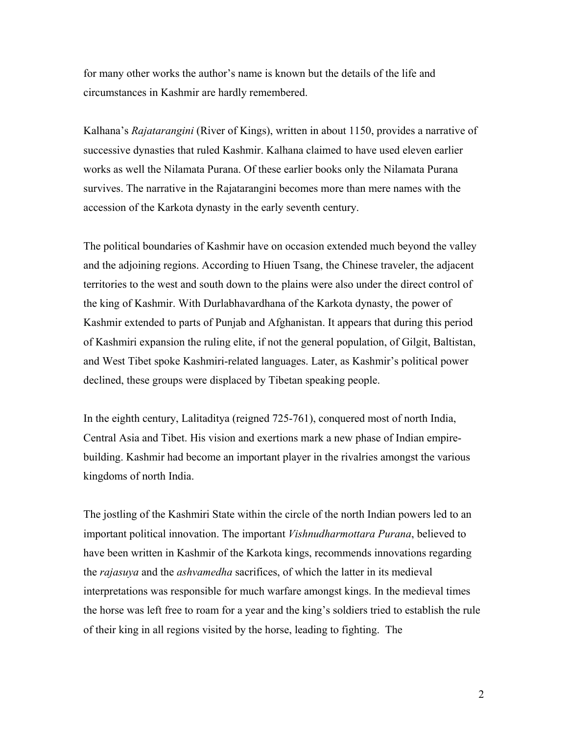for many other works the author's name is known but the details of the life and circumstances in Kashmir are hardly remembered.

Kalhana's *Rajatarangini* (River of Kings), written in about 1150, provides a narrative of successive dynasties that ruled Kashmir. Kalhana claimed to have used eleven earlier works as well the Nilamata Purana. Of these earlier books only the Nilamata Purana survives. The narrative in the Rajatarangini becomes more than mere names with the accession of the Karkota dynasty in the early seventh century.

The political boundaries of Kashmir have on occasion extended much beyond the valley and the adjoining regions. According to Hiuen Tsang, the Chinese traveler, the adjacent territories to the west and south down to the plains were also under the direct control of the king of Kashmir. With Durlabhavardhana of the Karkota dynasty, the power of Kashmir extended to parts of Punjab and Afghanistan. It appears that during this period of Kashmiri expansion the ruling elite, if not the general population, of Gilgit, Baltistan, and West Tibet spoke Kashmiri-related languages. Later, as Kashmir's political power declined, these groups were displaced by Tibetan speaking people.

In the eighth century, Lalitaditya (reigned 725-761), conquered most of north India, Central Asia and Tibet. His vision and exertions mark a new phase of Indian empirebuilding. Kashmir had become an important player in the rivalries amongst the various kingdoms of north India.

The jostling of the Kashmiri State within the circle of the north Indian powers led to an important political innovation. The important *Vishnudharmottara Purana*, believed to have been written in Kashmir of the Karkota kings, recommends innovations regarding the *rajasuya* and the *ashvamedha* sacrifices, of which the latter in its medieval interpretations was responsible for much warfare amongst kings. In the medieval times the horse was left free to roam for a year and the king's soldiers tried to establish the rule of their king in all regions visited by the horse, leading to fighting. The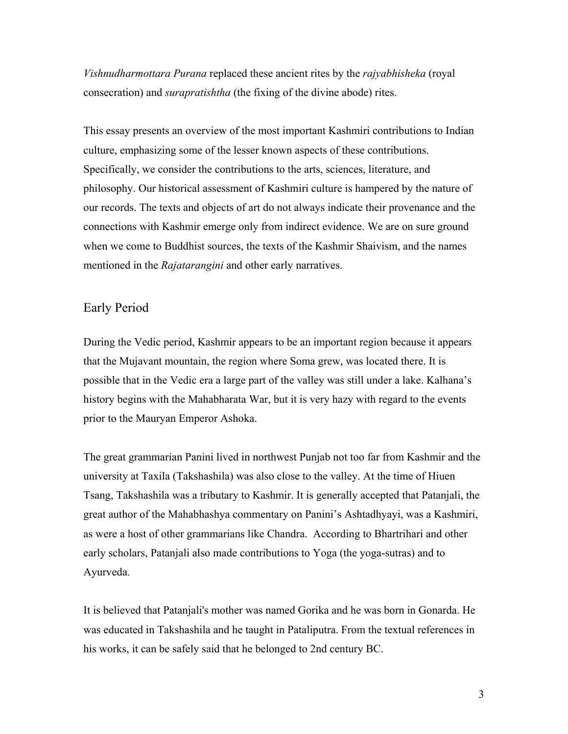*Vishnudharmottara Purana* replaced these ancient rites by the *rajyabhisheka* (royal consecration) and *surapratishtha* (the fixing of the divine abode) rites.

This essay presents an overview of the most important Kashmiri contributions to Indian culture, emphasizing some of the lesser known aspects of these contributions. Specifically, we consider the contributions to the arts, sciences, literature, and philosophy. Our historical assessment of Kashmiri culture is hampered by the nature of our records. The texts and objects of art do not always indicate their provenance and the connections with Kashmir emerge only from indirect evidence. We are on sure ground when we come to Buddhist sources, the texts of the Kashmir Shaivism, and the names mentioned in the *Rajatarangini* and other early narratives.

#### Early Period

During the Vedic period, Kashmir appears to be an important region because it appears that the Mujavant mountain, the region where Soma grew, was located there. It is possible that in the Vedic era a large part of the valley was still under a lake. Kalhana's history begins with the Mahabharata War, but it is very hazy with regard to the events prior to the Mauryan Emperor Ashoka.

The great grammarian Panini lived in northwest Punjab not too far from Kashmir and the university at Taxila (Takshashila) was also close to the valley. At the time of Hiuen Tsang, Takshashila was a tributary to Kashmir. It is generally accepted that Patanjali, the great author of the Mahabhashya commentary on Panini's Ashtadhyayi, was a Kashmiri, as were a host of other grammarians like Chandra. According to Bhartrihari and other early scholars, Patanjali also made contributions to Yoga (the yoga-sutras) and to Ayurveda.

It is believed that Patanjali's mother was named Gorika and he was born in Gonarda. He was educated in Takshashila and he taught in Pataliputra. From the textual references in his works, it can be safely said that he belonged to 2nd century BC.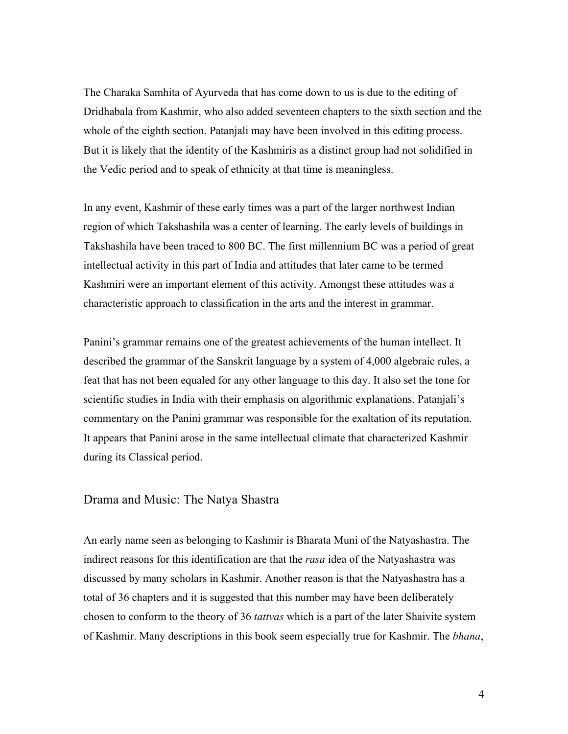The Charaka Samhita of Ayurveda that has come down to us is due to the editing of Dridhabala from Kashmir, who also added seventeen chapters to the sixth section and the whole of the eighth section. Patanjali may have been involved in this editing process. But it is likely that the identity of the Kashmiris as a distinct group had not solidified in the Vedic period and to speak of ethnicity at that time is meaningless.

In any event, Kashmir of these early times was a part of the larger northwest Indian region of which Takshashila was a center of learning. The early levels of buildings in Takshashila have been traced to 800 BC. The first millennium BC was a period of great intellectual activity in this part of India and attitudes that later came to be termed Kashmiri were an important element of this activity. Amongst these attitudes was a characteristic approach to classification in the arts and the interest in grammar.

Panini's grammar remains one of the greatest achievements of the human intellect. It described the grammar of the Sanskrit language by a system of 4,000 algebraic rules, a feat that has not been equaled for any other language to this day. It also set the tone for scientific studies in India with their emphasis on algorithmic explanations. Patanjali's commentary on the Panini grammar was responsible for the exaltation of its reputation. It appears that Panini arose in the same intellectual climate that characterized Kashmir during its Classical period.

# Drama and Music: The Natya Shastra

An early name seen as belonging to Kashmir is Bharata Muni of the Natyashastra. The indirect reasons for this identification are that the *rasa* idea of the Natyashastra was discussed by many scholars in Kashmir. Another reason is that the Natyashastra has a total of 36 chapters and it is suggested that this number may have been deliberately chosen to conform to the theory of 36 *tattvas* which is a part of the later Shaivite system of Kashmir. Many descriptions in this book seem especially true for Kashmir. The *bhana*,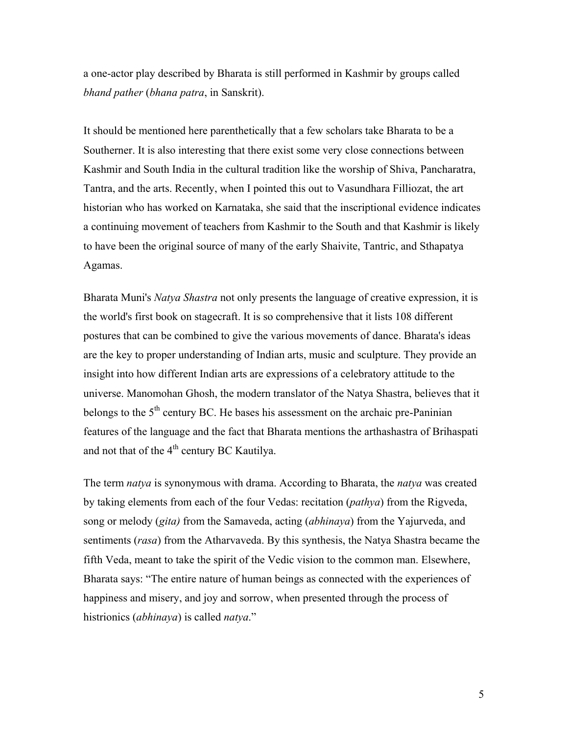a one-actor play described by Bharata is still performed in Kashmir by groups called *bhand pather* (*bhana patra*, in Sanskrit).

It should be mentioned here parenthetically that a few scholars take Bharata to be a Southerner. It is also interesting that there exist some very close connections between Kashmir and South India in the cultural tradition like the worship of Shiva, Pancharatra, Tantra, and the arts. Recently, when I pointed this out to Vasundhara Filliozat, the art historian who has worked on Karnataka, she said that the inscriptional evidence indicates a continuing movement of teachers from Kashmir to the South and that Kashmir is likely to have been the original source of many of the early Shaivite, Tantric, and Sthapatya Agamas.

Bharata Muni's *Natya Shastra* not only presents the language of creative expression, it is the world's first book on stagecraft. It is so comprehensive that it lists 108 different postures that can be combined to give the various movements of dance. Bharata's ideas are the key to proper understanding of Indian arts, music and sculpture. They provide an insight into how different Indian arts are expressions of a celebratory attitude to the universe. Manomohan Ghosh, the modern translator of the Natya Shastra, believes that it belongs to the  $5<sup>th</sup>$  century BC. He bases his assessment on the archaic pre-Paninian features of the language and the fact that Bharata mentions the arthashastra of Brihaspati and not that of the 4<sup>th</sup> century BC Kautilya.

The term *natya* is synonymous with drama. According to Bharata, the *natya* was created by taking elements from each of the four Vedas: recitation (*pathya*) from the Rigveda, song or melody (*gita)* from the Samaveda, acting (*abhinaya*) from the Yajurveda, and sentiments (*rasa*) from the Atharvaveda. By this synthesis, the Natya Shastra became the fifth Veda, meant to take the spirit of the Vedic vision to the common man. Elsewhere, Bharata says: "The entire nature of human beings as connected with the experiences of happiness and misery, and joy and sorrow, when presented through the process of histrionics (*abhinaya*) is called *natya*."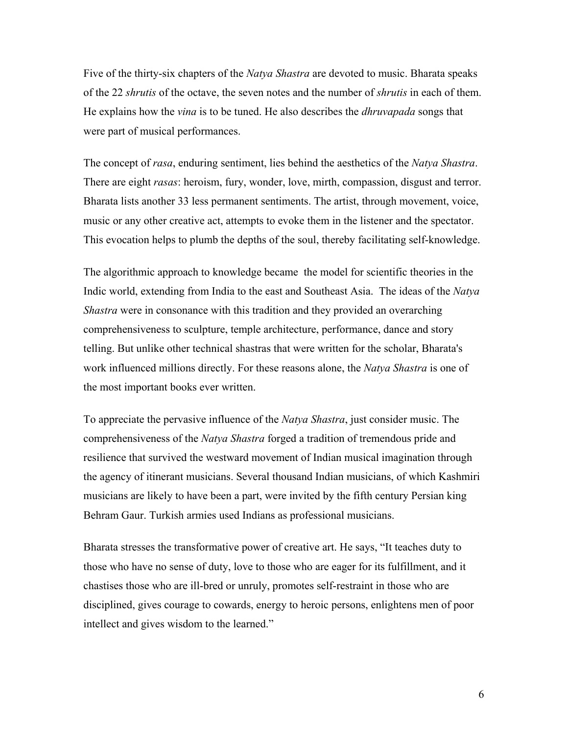Five of the thirty-six chapters of the *Natya Shastra* are devoted to music. Bharata speaks of the 22 *shrutis* of the octave, the seven notes and the number of *shrutis* in each of them. He explains how the *vina* is to be tuned. He also describes the *dhruvapada* songs that were part of musical performances.

The concept of *rasa*, enduring sentiment, lies behind the aesthetics of the *Natya Shastra*. There are eight *rasas*: heroism, fury, wonder, love, mirth, compassion, disgust and terror. Bharata lists another 33 less permanent sentiments. The artist, through movement, voice, music or any other creative act, attempts to evoke them in the listener and the spectator. This evocation helps to plumb the depths of the soul, thereby facilitating self-knowledge.

The algorithmic approach to knowledge became the model for scientific theories in the Indic world, extending from India to the east and Southeast Asia. The ideas of the *Natya Shastra* were in consonance with this tradition and they provided an overarching comprehensiveness to sculpture, temple architecture, performance, dance and story telling. But unlike other technical shastras that were written for the scholar, Bharata's work influenced millions directly. For these reasons alone, the *Natya Shastra* is one of the most important books ever written.

To appreciate the pervasive influence of the *Natya Shastra*, just consider music. The comprehensiveness of the *Natya Shastra* forged a tradition of tremendous pride and resilience that survived the westward movement of Indian musical imagination through the agency of itinerant musicians. Several thousand Indian musicians, of which Kashmiri musicians are likely to have been a part, were invited by the fifth century Persian king Behram Gaur. Turkish armies used Indians as professional musicians.

Bharata stresses the transformative power of creative art. He says, "It teaches duty to those who have no sense of duty, love to those who are eager for its fulfillment, and it chastises those who are ill-bred or unruly, promotes self-restraint in those who are disciplined, gives courage to cowards, energy to heroic persons, enlightens men of poor intellect and gives wisdom to the learned."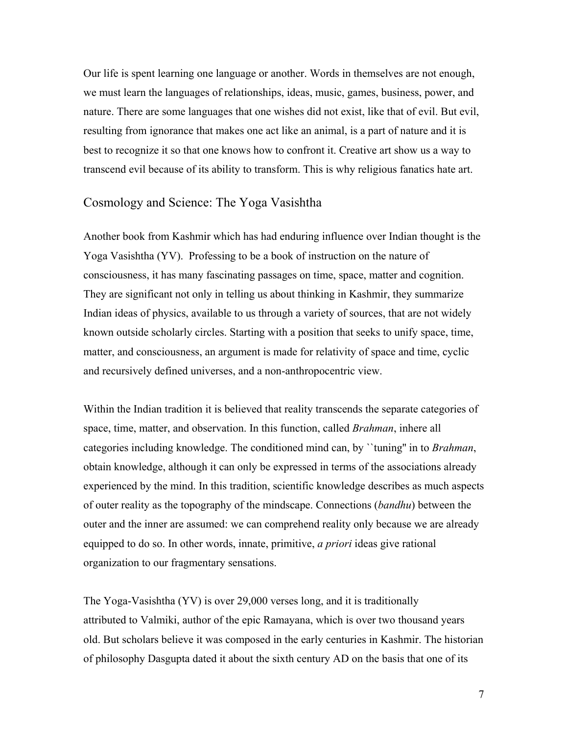Our life is spent learning one language or another. Words in themselves are not enough, we must learn the languages of relationships, ideas, music, games, business, power, and nature. There are some languages that one wishes did not exist, like that of evil. But evil, resulting from ignorance that makes one act like an animal, is a part of nature and it is best to recognize it so that one knows how to confront it. Creative art show us a way to transcend evil because of its ability to transform. This is why religious fanatics hate art.

# Cosmology and Science: The Yoga Vasishtha

Another book from Kashmir which has had enduring influence over Indian thought is the Yoga Vasishtha (YV). Professing to be a book of instruction on the nature of consciousness, it has many fascinating passages on time, space, matter and cognition. They are significant not only in telling us about thinking in Kashmir, they summarize Indian ideas of physics, available to us through a variety of sources, that are not widely known outside scholarly circles. Starting with a position that seeks to unify space, time, matter, and consciousness, an argument is made for relativity of space and time, cyclic and recursively defined universes, and a non-anthropocentric view.

Within the Indian tradition it is believed that reality transcends the separate categories of space, time, matter, and observation. In this function, called *Brahman*, inhere all categories including knowledge. The conditioned mind can, by ``tuning'' in to *Brahman*, obtain knowledge, although it can only be expressed in terms of the associations already experienced by the mind. In this tradition, scientific knowledge describes as much aspects of outer reality as the topography of the mindscape. Connections (*bandhu*) between the outer and the inner are assumed: we can comprehend reality only because we are already equipped to do so. In other words, innate, primitive, *a priori* ideas give rational organization to our fragmentary sensations.

The Yoga-Vasishtha (YV) is over 29,000 verses long, and it is traditionally attributed to Valmiki, author of the epic Ramayana, which is over two thousand years old. But scholars believe it was composed in the early centuries in Kashmir. The historian of philosophy Dasgupta dated it about the sixth century AD on the basis that one of its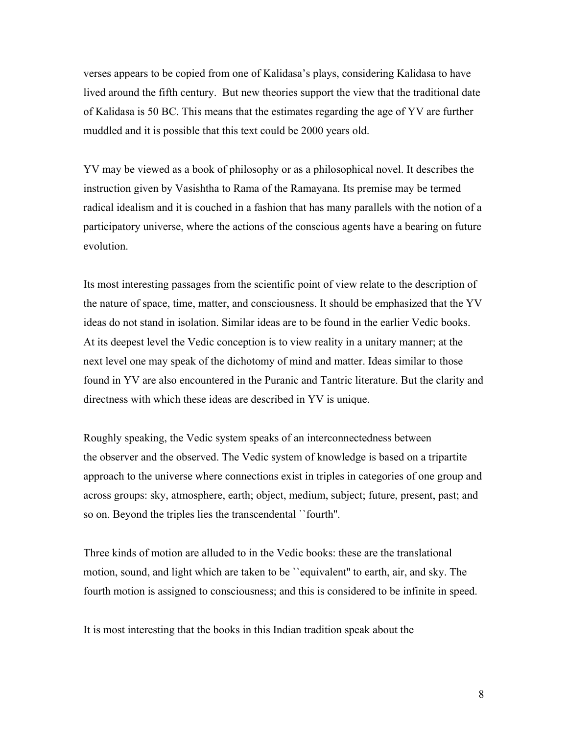verses appears to be copied from one of Kalidasa's plays, considering Kalidasa to have lived around the fifth century. But new theories support the view that the traditional date of Kalidasa is 50 BC. This means that the estimates regarding the age of YV are further muddled and it is possible that this text could be 2000 years old.

YV may be viewed as a book of philosophy or as a philosophical novel. It describes the instruction given by Vasishtha to Rama of the Ramayana. Its premise may be termed radical idealism and it is couched in a fashion that has many parallels with the notion of a participatory universe, where the actions of the conscious agents have a bearing on future evolution.

Its most interesting passages from the scientific point of view relate to the description of the nature of space, time, matter, and consciousness. It should be emphasized that the YV ideas do not stand in isolation. Similar ideas are to be found in the earlier Vedic books. At its deepest level the Vedic conception is to view reality in a unitary manner; at the next level one may speak of the dichotomy of mind and matter. Ideas similar to those found in YV are also encountered in the Puranic and Tantric literature. But the clarity and directness with which these ideas are described in YV is unique.

Roughly speaking, the Vedic system speaks of an interconnectedness between the observer and the observed. The Vedic system of knowledge is based on a tripartite approach to the universe where connections exist in triples in categories of one group and across groups: sky, atmosphere, earth; object, medium, subject; future, present, past; and so on. Beyond the triples lies the transcendental ``fourth''.

Three kinds of motion are alluded to in the Vedic books: these are the translational motion, sound, and light which are taken to be ``equivalent'' to earth, air, and sky. The fourth motion is assigned to consciousness; and this is considered to be infinite in speed.

It is most interesting that the books in this Indian tradition speak about the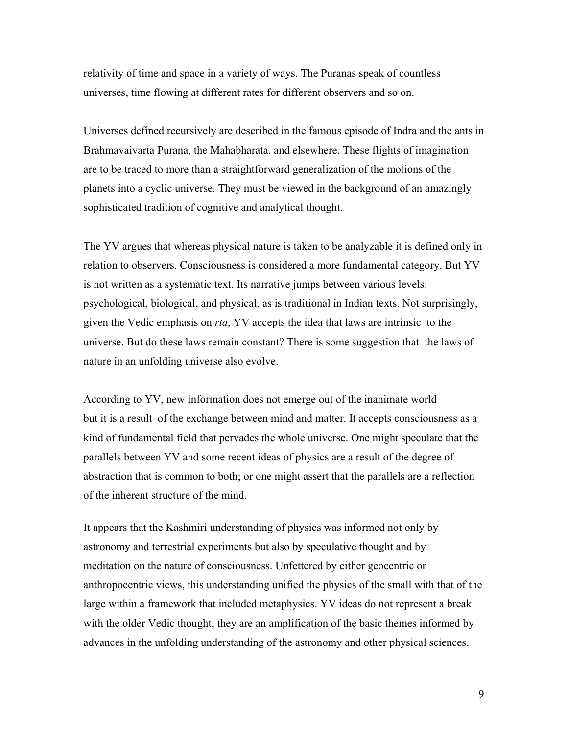relativity of time and space in a variety of ways. The Puranas speak of countless universes, time flowing at different rates for different observers and so on.

Universes defined recursively are described in the famous episode of Indra and the ants in Brahmavaivarta Purana, the Mahabharata, and elsewhere. These flights of imagination are to be traced to more than a straightforward generalization of the motions of the planets into a cyclic universe. They must be viewed in the background of an amazingly sophisticated tradition of cognitive and analytical thought.

The YV argues that whereas physical nature is taken to be analyzable it is defined only in relation to observers. Consciousness is considered a more fundamental category. But YV is not written as a systematic text. Its narrative jumps between various levels: psychological, biological, and physical, as is traditional in Indian texts. Not surprisingly, given the Vedic emphasis on *rta*, YV accepts the idea that laws are intrinsic to the universe. But do these laws remain constant? There is some suggestion that the laws of nature in an unfolding universe also evolve.

According to YV, new information does not emerge out of the inanimate world but it is a result of the exchange between mind and matter. It accepts consciousness as a kind of fundamental field that pervades the whole universe. One might speculate that the parallels between YV and some recent ideas of physics are a result of the degree of abstraction that is common to both; or one might assert that the parallels are a reflection of the inherent structure of the mind.

It appears that the Kashmiri understanding of physics was informed not only by astronomy and terrestrial experiments but also by speculative thought and by meditation on the nature of consciousness. Unfettered by either geocentric or anthropocentric views, this understanding unified the physics of the small with that of the large within a framework that included metaphysics. YV ideas do not represent a break with the older Vedic thought; they are an amplification of the basic themes informed by advances in the unfolding understanding of the astronomy and other physical sciences.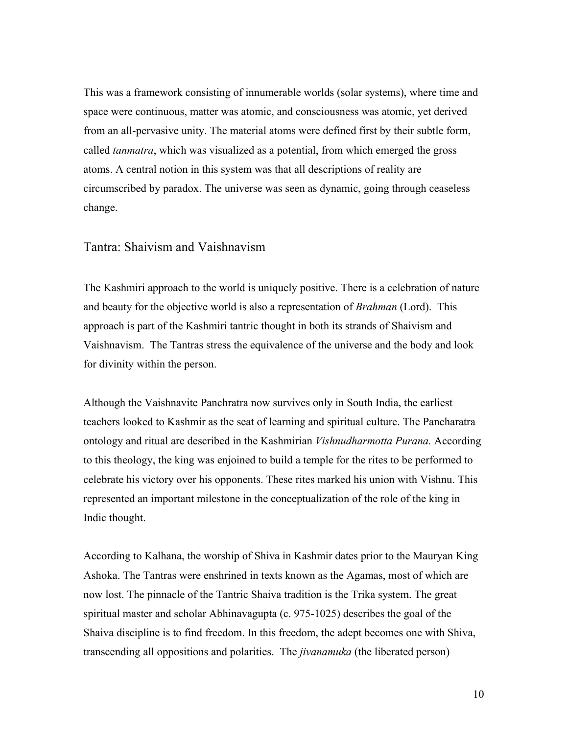This was a framework consisting of innumerable worlds (solar systems), where time and space were continuous, matter was atomic, and consciousness was atomic, yet derived from an all-pervasive unity. The material atoms were defined first by their subtle form, called *tanmatra*, which was visualized as a potential, from which emerged the gross atoms. A central notion in this system was that all descriptions of reality are circumscribed by paradox. The universe was seen as dynamic, going through ceaseless change.

#### Tantra: Shaivism and Vaishnavism

The Kashmiri approach to the world is uniquely positive. There is a celebration of nature and beauty for the objective world is also a representation of *Brahman* (Lord). This approach is part of the Kashmiri tantric thought in both its strands of Shaivism and Vaishnavism. The Tantras stress the equivalence of the universe and the body and look for divinity within the person.

Although the Vaishnavite Panchratra now survives only in South India, the earliest teachers looked to Kashmir as the seat of learning and spiritual culture. The Pancharatra ontology and ritual are described in the Kashmirian *Vishnudharmotta Purana.* According to this theology, the king was enjoined to build a temple for the rites to be performed to celebrate his victory over his opponents. These rites marked his union with Vishnu. This represented an important milestone in the conceptualization of the role of the king in Indic thought.

According to Kalhana, the worship of Shiva in Kashmir dates prior to the Mauryan King Ashoka. The Tantras were enshrined in texts known as the Agamas, most of which are now lost. The pinnacle of the Tantric Shaiva tradition is the Trika system. The great spiritual master and scholar Abhinavagupta (c. 975-1025) describes the goal of the Shaiva discipline is to find freedom. In this freedom, the adept becomes one with Shiva, transcending all oppositions and polarities. The *jivanamuka* (the liberated person)

10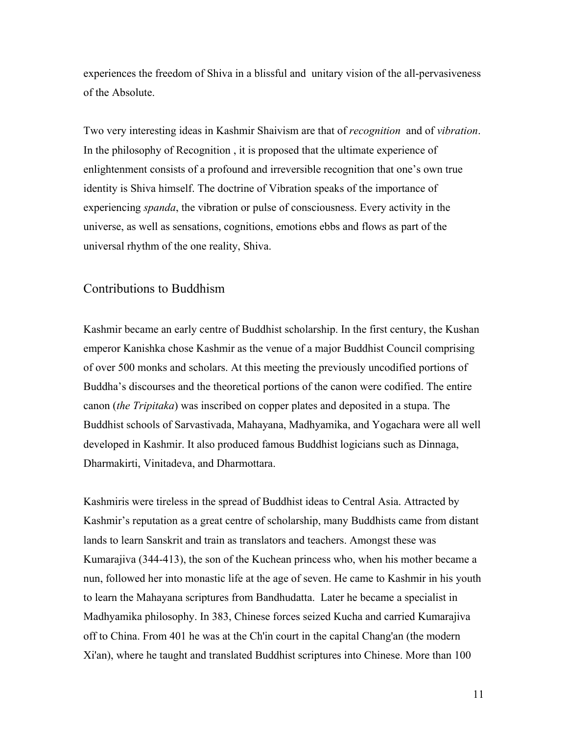experiences the freedom of Shiva in a blissful and unitary vision of the all-pervasiveness of the Absolute.

Two very interesting ideas in Kashmir Shaivism are that of *recognition* and of *vibration*. In the philosophy of Recognition , it is proposed that the ultimate experience of enlightenment consists of a profound and irreversible recognition that one's own true identity is Shiva himself. The doctrine of Vibration speaks of the importance of experiencing *spanda*, the vibration or pulse of consciousness. Every activity in the universe, as well as sensations, cognitions, emotions ebbs and flows as part of the universal rhythm of the one reality, Shiva.

#### Contributions to Buddhism

Kashmir became an early centre of Buddhist scholarship. In the first century, the Kushan emperor Kanishka chose Kashmir as the venue of a major Buddhist Council comprising of over 500 monks and scholars. At this meeting the previously uncodified portions of Buddha's discourses and the theoretical portions of the canon were codified. The entire canon (*the Tripitaka*) was inscribed on copper plates and deposited in a stupa. The Buddhist schools of Sarvastivada, Mahayana, Madhyamika, and Yogachara were all well developed in Kashmir. It also produced famous Buddhist logicians such as Dinnaga, Dharmakirti, Vinitadeva, and Dharmottara.

Kashmiris were tireless in the spread of Buddhist ideas to Central Asia. Attracted by Kashmir's reputation as a great centre of scholarship, many Buddhists came from distant lands to learn Sanskrit and train as translators and teachers. Amongst these was Kumarajiva (344-413), the son of the Kuchean princess who, when his mother became a nun, followed her into monastic life at the age of seven. He came to Kashmir in his youth to learn the Mahayana scriptures from Bandhudatta. Later he became a specialist in Madhyamika philosophy. In 383, Chinese forces seized Kucha and carried Kumarajiva off to China. From 401 he was at the Ch'in court in the capital Chang'an (the modern Xi'an), where he taught and translated Buddhist scriptures into Chinese. More than 100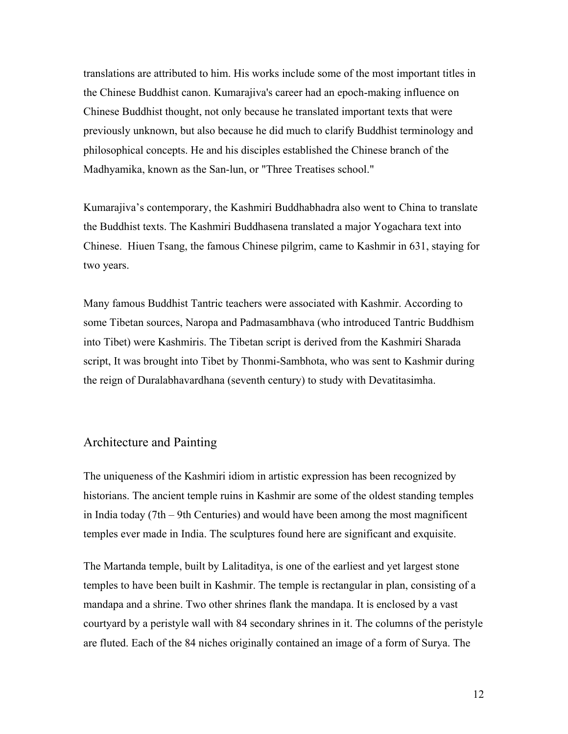translations are attributed to him. His works include some of the most important titles in the Chinese Buddhist canon. Kumarajiva's career had an epoch-making influence on Chinese Buddhist thought, not only because he translated important texts that were previously unknown, but also because he did much to clarify Buddhist terminology and philosophical concepts. He and his disciples established the Chinese branch of the Madhyamika, known as the San-lun, or "Three Treatises school."

Kumarajiva's contemporary, the Kashmiri Buddhabhadra also went to China to translate the Buddhist texts. The Kashmiri Buddhasena translated a major Yogachara text into Chinese. Hiuen Tsang, the famous Chinese pilgrim, came to Kashmir in 631, staying for two years.

Many famous Buddhist Tantric teachers were associated with Kashmir. According to some Tibetan sources, Naropa and Padmasambhava (who introduced Tantric Buddhism into Tibet) were Kashmiris. The Tibetan script is derived from the Kashmiri Sharada script, It was brought into Tibet by Thonmi-Sambhota, who was sent to Kashmir during the reign of Duralabhavardhana (seventh century) to study with Devatitasimha.

### Architecture and Painting

The uniqueness of the Kashmiri idiom in artistic expression has been recognized by historians. The ancient temple ruins in Kashmir are some of the oldest standing temples in India today (7th – 9th Centuries) and would have been among the most magnificent temples ever made in India. The sculptures found here are significant and exquisite.

The Martanda temple, built by Lalitaditya, is one of the earliest and yet largest stone temples to have been built in Kashmir. The temple is rectangular in plan, consisting of a mandapa and a shrine. Two other shrines flank the mandapa. It is enclosed by a vast courtyard by a peristyle wall with 84 secondary shrines in it. The columns of the peristyle are fluted. Each of the 84 niches originally contained an image of a form of Surya. The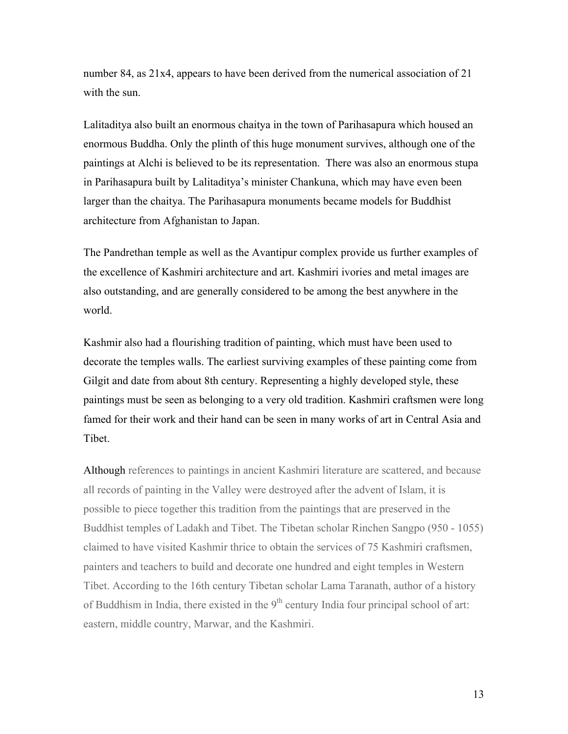number 84, as 21x4, appears to have been derived from the numerical association of 21 with the sun.

Lalitaditya also built an enormous chaitya in the town of Parihasapura which housed an enormous Buddha. Only the plinth of this huge monument survives, although one of the paintings at Alchi is believed to be its representation. There was also an enormous stupa in Parihasapura built by Lalitaditya's minister Chankuna, which may have even been larger than the chaitya. The Parihasapura monuments became models for Buddhist architecture from Afghanistan to Japan.

The Pandrethan temple as well as the Avantipur complex provide us further examples of the excellence of Kashmiri architecture and art. Kashmiri ivories and metal images are also outstanding, and are generally considered to be among the best anywhere in the world.

Kashmir also had a flourishing tradition of painting, which must have been used to decorate the temples walls. The earliest surviving examples of these painting come from Gilgit and date from about 8th century. Representing a highly developed style, these paintings must be seen as belonging to a very old tradition. Kashmiri craftsmen were long famed for their work and their hand can be seen in many works of art in Central Asia and Tibet.

Although references to paintings in ancient Kashmiri literature are scattered, and because all records of painting in the Valley were destroyed after the advent of Islam, it is possible to piece together this tradition from the paintings that are preserved in the Buddhist temples of Ladakh and Tibet. The Tibetan scholar Rinchen Sangpo (950 - 1055) claimed to have visited Kashmir thrice to obtain the services of 75 Kashmiri craftsmen, painters and teachers to build and decorate one hundred and eight temples in Western Tibet. According to the 16th century Tibetan scholar Lama Taranath, author of a history of Buddhism in India, there existed in the  $9<sup>th</sup>$  century India four principal school of art: eastern, middle country, Marwar, and the Kashmiri.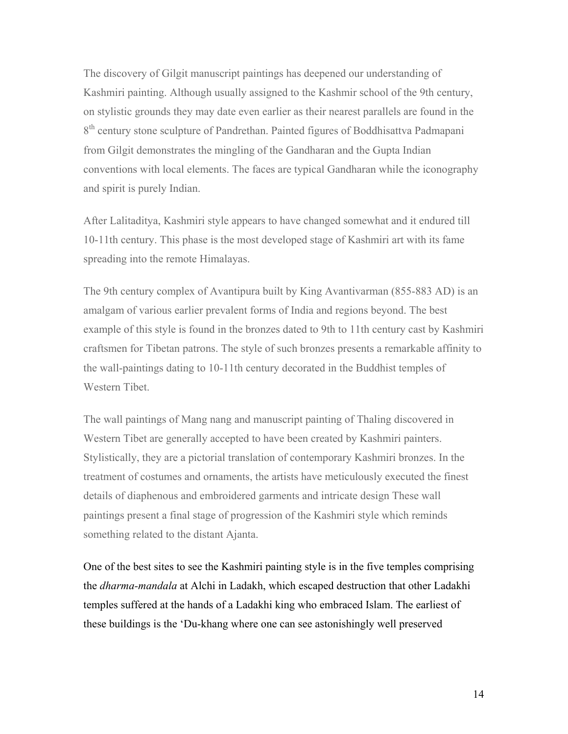The discovery of Gilgit manuscript paintings has deepened our understanding of Kashmiri painting. Although usually assigned to the Kashmir school of the 9th century, on stylistic grounds they may date even earlier as their nearest parallels are found in the 8<sup>th</sup> century stone sculpture of Pandrethan. Painted figures of Boddhisattva Padmapani from Gilgit demonstrates the mingling of the Gandharan and the Gupta Indian conventions with local elements. The faces are typical Gandharan while the iconography and spirit is purely Indian.

After Lalitaditya, Kashmiri style appears to have changed somewhat and it endured till 10-11th century. This phase is the most developed stage of Kashmiri art with its fame spreading into the remote Himalayas.

The 9th century complex of Avantipura built by King Avantivarman (855-883 AD) is an amalgam of various earlier prevalent forms of India and regions beyond. The best example of this style is found in the bronzes dated to 9th to 11th century cast by Kashmiri craftsmen for Tibetan patrons. The style of such bronzes presents a remarkable affinity to the wall-paintings dating to 10-11th century decorated in the Buddhist temples of Western Tibet.

The wall paintings of Mang nang and manuscript painting of Thaling discovered in Western Tibet are generally accepted to have been created by Kashmiri painters. Stylistically, they are a pictorial translation of contemporary Kashmiri bronzes. In the treatment of costumes and ornaments, the artists have meticulously executed the finest details of diaphenous and embroidered garments and intricate design These wall paintings present a final stage of progression of the Kashmiri style which reminds something related to the distant Ajanta.

One of the best sites to see the Kashmiri painting style is in the five temples comprising the *dharma-mandala* at Alchi in Ladakh, which escaped destruction that other Ladakhi temples suffered at the hands of a Ladakhi king who embraced Islam. The earliest of these buildings is the 'Du-khang where one can see astonishingly well preserved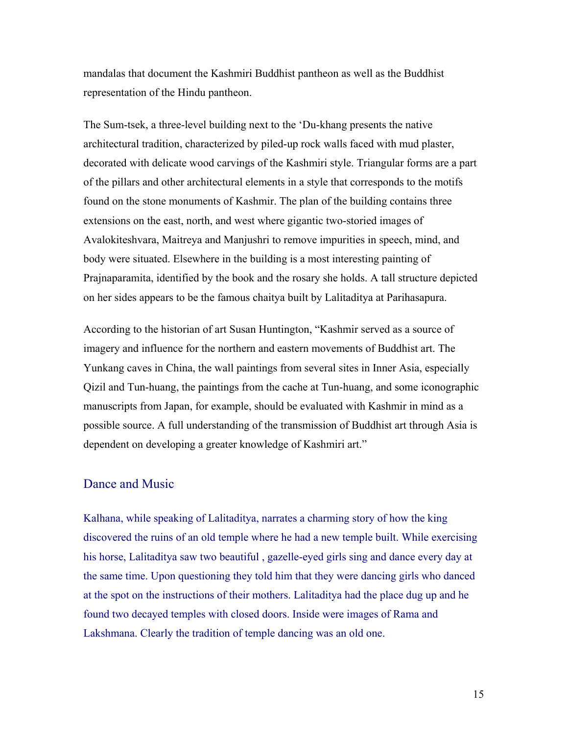mandalas that document the Kashmiri Buddhist pantheon as well as the Buddhist representation of the Hindu pantheon.

The Sum-tsek, a three-level building next to the 'Du-khang presents the native architectural tradition, characterized by piled-up rock walls faced with mud plaster, decorated with delicate wood carvings of the Kashmiri style. Triangular forms are a part of the pillars and other architectural elements in a style that corresponds to the motifs found on the stone monuments of Kashmir. The plan of the building contains three extensions on the east, north, and west where gigantic two-storied images of Avalokiteshvara, Maitreya and Manjushri to remove impurities in speech, mind, and body were situated. Elsewhere in the building is a most interesting painting of Prajnaparamita, identified by the book and the rosary she holds. A tall structure depicted on her sides appears to be the famous chaitya built by Lalitaditya at Parihasapura.

According to the historian of art Susan Huntington, "Kashmir served as a source of imagery and influence for the northern and eastern movements of Buddhist art. The Yunkang caves in China, the wall paintings from several sites in Inner Asia, especially Qizil and Tun-huang, the paintings from the cache at Tun-huang, and some iconographic manuscripts from Japan, for example, should be evaluated with Kashmir in mind as a possible source. A full understanding of the transmission of Buddhist art through Asia is dependent on developing a greater knowledge of Kashmiri art."

#### Dance and Music

Kalhana, while speaking of Lalitaditya, narrates a charming story of how the king discovered the ruins of an old temple where he had a new temple built. While exercising his horse, Lalitaditya saw two beautiful , gazelle-eyed girls sing and dance every day at the same time. Upon questioning they told him that they were dancing girls who danced at the spot on the instructions of their mothers. Lalitaditya had the place dug up and he found two decayed temples with closed doors. Inside were images of Rama and Lakshmana. Clearly the tradition of temple dancing was an old one.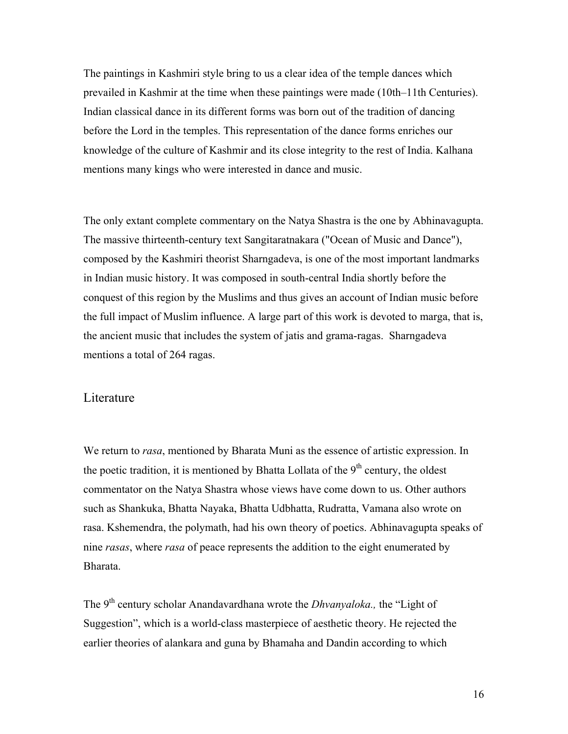The paintings in Kashmiri style bring to us a clear idea of the temple dances which prevailed in Kashmir at the time when these paintings were made (10th–11th Centuries). Indian classical dance in its different forms was born out of the tradition of dancing before the Lord in the temples. This representation of the dance forms enriches our knowledge of the culture of Kashmir and its close integrity to the rest of India. Kalhana mentions many kings who were interested in dance and music.

The only extant complete commentary on the Natya Shastra is the one by Abhinavagupta. The massive thirteenth-century text Sangitaratnakara ("Ocean of Music and Dance"), composed by the Kashmiri theorist Sharngadeva, is one of the most important landmarks in Indian music history. It was composed in south-central India shortly before the conquest of this region by the Muslims and thus gives an account of Indian music before the full impact of Muslim influence. A large part of this work is devoted to marga, that is, the ancient music that includes the system of jatis and grama-ragas. Sharngadeva mentions a total of 264 ragas.

#### Literature

We return to *rasa*, mentioned by Bharata Muni as the essence of artistic expression. In the poetic tradition, it is mentioned by Bhatta Lollata of the  $9<sup>th</sup>$  century, the oldest commentator on the Natya Shastra whose views have come down to us. Other authors such as Shankuka, Bhatta Nayaka, Bhatta Udbhatta, Rudratta, Vamana also wrote on rasa. Kshemendra, the polymath, had his own theory of poetics. Abhinavagupta speaks of nine *rasas*, where *rasa* of peace represents the addition to the eight enumerated by Bharata.

The 9<sup>th</sup> century scholar Anandavardhana wrote the *Dhvanyaloka*., the "Light of Suggestion", which is a world-class masterpiece of aesthetic theory. He rejected the earlier theories of alankara and guna by Bhamaha and Dandin according to which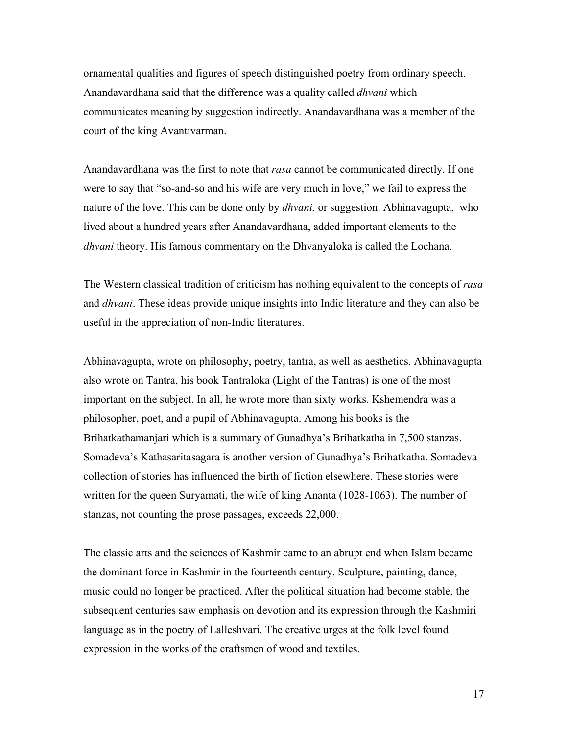ornamental qualities and figures of speech distinguished poetry from ordinary speech. Anandavardhana said that the difference was a quality called *dhvani* which communicates meaning by suggestion indirectly. Anandavardhana was a member of the court of the king Avantivarman.

Anandavardhana was the first to note that *rasa* cannot be communicated directly. If one were to say that "so-and-so and his wife are very much in love," we fail to express the nature of the love. This can be done only by *dhvani,* or suggestion. Abhinavagupta, who lived about a hundred years after Anandavardhana, added important elements to the *dhvani* theory. His famous commentary on the Dhvanyaloka is called the Lochana.

The Western classical tradition of criticism has nothing equivalent to the concepts of *rasa* and *dhvani*. These ideas provide unique insights into Indic literature and they can also be useful in the appreciation of non-Indic literatures.

Abhinavagupta, wrote on philosophy, poetry, tantra, as well as aesthetics. Abhinavagupta also wrote on Tantra, his book Tantraloka (Light of the Tantras) is one of the most important on the subject. In all, he wrote more than sixty works. Kshemendra was a philosopher, poet, and a pupil of Abhinavagupta. Among his books is the Brihatkathamanjari which is a summary of Gunadhya's Brihatkatha in 7,500 stanzas. Somadeva's Kathasaritasagara is another version of Gunadhya's Brihatkatha. Somadeva collection of stories has influenced the birth of fiction elsewhere. These stories were written for the queen Suryamati, the wife of king Ananta (1028-1063). The number of stanzas, not counting the prose passages, exceeds 22,000.

The classic arts and the sciences of Kashmir came to an abrupt end when Islam became the dominant force in Kashmir in the fourteenth century. Sculpture, painting, dance, music could no longer be practiced. After the political situation had become stable, the subsequent centuries saw emphasis on devotion and its expression through the Kashmiri language as in the poetry of Lalleshvari. The creative urges at the folk level found expression in the works of the craftsmen of wood and textiles.